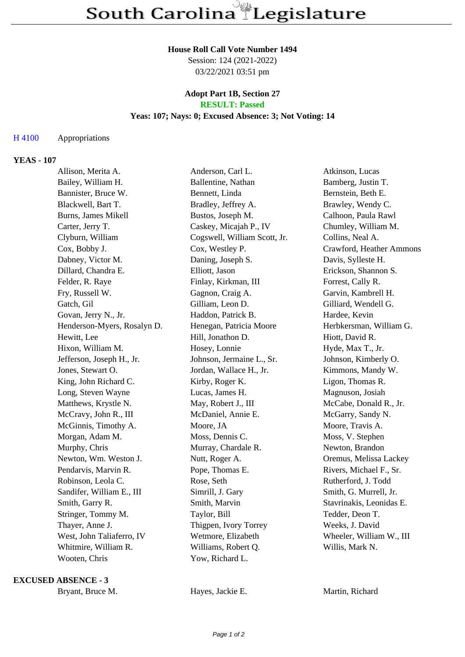#### **House Roll Call Vote Number 1494**

Session: 124 (2021-2022) 03/22/2021 03:51 pm

### **Adopt Part 1B, Section 27 RESULT: Passed**

## **Yeas: 107; Nays: 0; Excused Absence: 3; Not Voting: 14**

## H 4100 Appropriations

## **YEAS - 107**

| Allison, Merita A.          | Anderson, Carl L.            | Atkinson, Lucas          |
|-----------------------------|------------------------------|--------------------------|
| Bailey, William H.          | Ballentine, Nathan           | Bamberg, Justin T.       |
| Bannister, Bruce W.         | Bennett, Linda               | Bernstein, Beth E.       |
| Blackwell, Bart T.          | Bradley, Jeffrey A.          | Brawley, Wendy C.        |
| <b>Burns, James Mikell</b>  | Bustos, Joseph M.            | Calhoon, Paula Rawl      |
| Carter, Jerry T.            | Caskey, Micajah P., IV       | Chumley, William M.      |
| Clyburn, William            | Cogswell, William Scott, Jr. | Collins, Neal A.         |
| Cox, Bobby J.               | Cox, Westley P.              | Crawford, Heather Ammons |
| Dabney, Victor M.           | Daning, Joseph S.            | Davis, Sylleste H.       |
| Dillard, Chandra E.         | Elliott, Jason               | Erickson, Shannon S.     |
| Felder, R. Raye             | Finlay, Kirkman, III         | Forrest, Cally R.        |
| Fry, Russell W.             | Gagnon, Craig A.             | Garvin, Kambrell H.      |
| Gatch, Gil                  | Gilliam, Leon D.             | Gilliard, Wendell G.     |
| Govan, Jerry N., Jr.        | Haddon, Patrick B.           | Hardee, Kevin            |
| Henderson-Myers, Rosalyn D. | Henegan, Patricia Moore      | Herbkersman, William G.  |
| Hewitt, Lee                 | Hill, Jonathon D.            | Hiott, David R.          |
| Hixon, William M.           | Hosey, Lonnie                | Hyde, Max T., Jr.        |
| Jefferson, Joseph H., Jr.   | Johnson, Jermaine L., Sr.    | Johnson, Kimberly O.     |
| Jones, Stewart O.           | Jordan, Wallace H., Jr.      | Kimmons, Mandy W.        |
| King, John Richard C.       | Kirby, Roger K.              | Ligon, Thomas R.         |
| Long, Steven Wayne          | Lucas, James H.              | Magnuson, Josiah         |
| Matthews, Krystle N.        | May, Robert J., III          | McCabe, Donald R., Jr.   |
| McCravy, John R., III       | McDaniel, Annie E.           | McGarry, Sandy N.        |
| McGinnis, Timothy A.        | Moore, JA                    | Moore, Travis A.         |
| Morgan, Adam M.             | Moss, Dennis C.              | Moss, V. Stephen         |
| Murphy, Chris               | Murray, Chardale R.          | Newton, Brandon          |
| Newton, Wm. Weston J.       | Nutt, Roger A.               | Oremus, Melissa Lackey   |
| Pendarvis, Marvin R.        | Pope, Thomas E.              | Rivers, Michael F., Sr.  |
| Robinson, Leola C.          | Rose, Seth                   | Rutherford, J. Todd      |
| Sandifer, William E., III   | Simrill, J. Gary             | Smith, G. Murrell, Jr.   |
| Smith, Garry R.             | Smith, Marvin                | Stavrinakis, Leonidas E. |
| Stringer, Tommy M.          | Taylor, Bill                 | Tedder, Deon T.          |
| Thayer, Anne J.             | Thigpen, Ivory Torrey        | Weeks, J. David          |
| West, John Taliaferro, IV   | Wetmore, Elizabeth           | Wheeler, William W., III |
| Whitmire, William R.        | Williams, Robert Q.          | Willis, Mark N.          |
| Wooten, Chris               | Yow, Richard L.              |                          |
|                             |                              |                          |

#### **EXCUSED ABSENCE - 3**

Bryant, Bruce M. **Hayes, Jackie E.** Martin, Richard